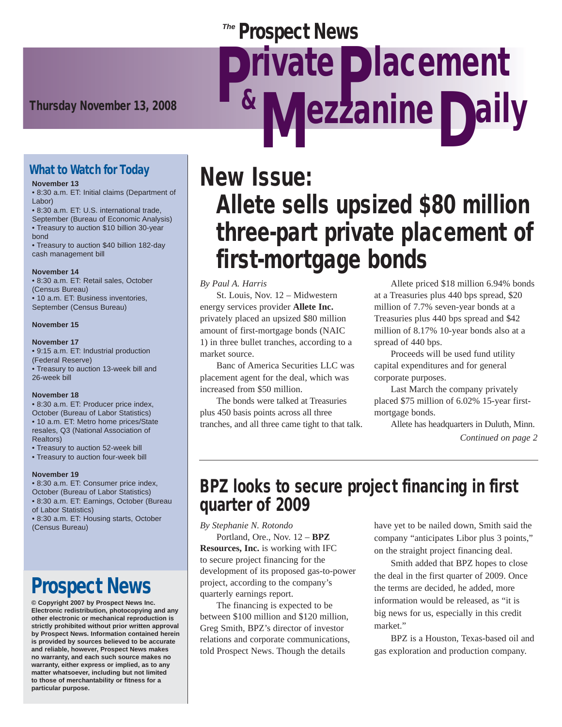### **Prospect News**

Thursday November 13, 2008<br> **Examine Daily** 

### What to Watch for Today

#### **November 13**

• 8:30 a.m. ET: Initial claims (Department of Labor)

• 8:30 a.m. ET: U.S. international trade, September (Bureau of Economic Analysis) • Treasury to auction \$10 billion 30-year bond

• Treasury to auction \$40 billion 182-day cash management bill

#### **November 14**

• 8:30 a.m. ET: Retail sales, October (Census Bureau) • 10 a.m. ET: Business inventories, September (Census Bureau)

#### **November 15**

#### **November 17**

• 9:15 a.m. ET: Industrial production (Federal Reserve) • Treasury to auction 13-week bill and 26-week bill

#### **November 18**

• 8:30 a.m. ET: Producer price index, October (Bureau of Labor Statistics) • 10 a.m. ET: Metro home prices/State resales, Q3 (National Association of Realtors)

- Treasury to auction 52-week bill
- Treasury to auction four-week bill

#### **November 19**

• 8:30 a.m. ET: Consumer price index, October (Bureau of Labor Statistics) • 8:30 a.m. ET: Earnings, October (Bureau of Labor Statistics) • 8:30 a.m. ET: Housing starts, October (Census Bureau)

## Prospect News

**© Copyright 2007 by Prospect News Inc. Electronic redistribution, photocopying and any other electronic or mechanical reproduction is strictly prohibited without prior written approval by Prospect News. Information contained herein is provided by sources believed to be accurate and reliable, however, Prospect News makes no warranty, and each such source makes no warranty, either express or implied, as to any matter whatsoever, including but not limited to those of merchantability or fitness for a particular purpose.**

# New Issue: Allete sells upsized \$80 million three-part private placement of first-mortgage bonds

rivate Dlacement

#### *By Paul A. Harris*

 St. Louis, Nov. 12 – Midwestern energy services provider **Allete Inc.** privately placed an upsized \$80 million amount of first-mortgage bonds (NAIC 1) in three bullet tranches, according to a market source.

 Banc of America Securities LLC was placement agent for the deal, which was increased from \$50 million.

 The bonds were talked at Treasuries plus 450 basis points across all three tranches, and all three came tight to that talk.

 Allete priced \$18 million 6.94% bonds at a Treasuries plus 440 bps spread, \$20 million of 7.7% seven-year bonds at a Treasuries plus 440 bps spread and \$42 million of 8.17% 10-year bonds also at a spread of 440 bps.

 Proceeds will be used fund utility capital expenditures and for general corporate purposes.

 Last March the company privately placed \$75 million of 6.02% 15-year firstmortgage bonds.

 Allete has headquarters in Duluth, Minn. *Continued on page 2*

### BPZ looks to secure project financing in first quarter of 2009

*By Stephanie N. Rotondo*

 Portland, Ore., Nov. 12 – **BPZ Resources, Inc.** is working with IFC to secure project financing for the development of its proposed gas-to-power project, according to the company's quarterly earnings report.

 The financing is expected to be between \$100 million and \$120 million, Greg Smith, BPZ's director of investor relations and corporate communications, told Prospect News. Though the details

have yet to be nailed down, Smith said the company "anticipates Libor plus 3 points," on the straight project financing deal.

 Smith added that BPZ hopes to close the deal in the first quarter of 2009. Once the terms are decided, he added, more information would be released, as "it is big news for us, especially in this credit market."

 BPZ is a Houston, Texas-based oil and gas exploration and production company.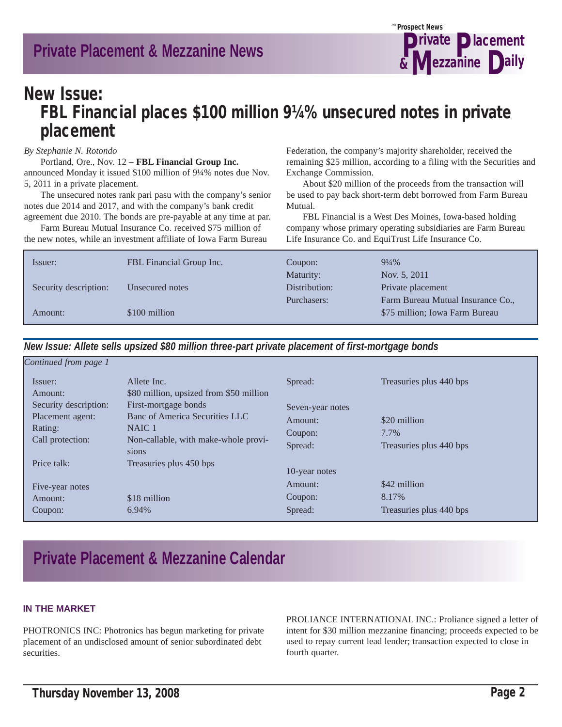

### New Issue: FBL Financial places \$100 million 9¼% unsecured notes in private placement

*By Stephanie N. Rotondo*

 Portland, Ore., Nov. 12 – **FBL Financial Group Inc.** announced Monday it issued \$100 million of 9¼% notes due Nov. 5, 2011 in a private placement.

 The unsecured notes rank pari pasu with the company's senior notes due 2014 and 2017, and with the company's bank credit agreement due 2010. The bonds are pre-payable at any time at par.

 Farm Bureau Mutual Insurance Co. received \$75 million of the new notes, while an investment affiliate of Iowa Farm Bureau

Federation, the company's majority shareholder, received the remaining \$25 million, according to a filing with the Securities and Exchange Commission.

 About \$20 million of the proceeds from the transaction will be used to pay back short-term debt borrowed from Farm Bureau Mutual.

 FBL Financial is a West Des Moines, Iowa-based holding company whose primary operating subsidiaries are Farm Bureau Life Insurance Co. and EquiTrust Life Insurance Co.

| FBL Financial Group Inc. | Coupon:       | $9\frac{1}{4}\%$                  |
|--------------------------|---------------|-----------------------------------|
|                          | Maturity:     | Nov. 5, 2011                      |
| Unsecured notes          | Distribution: | Private placement                 |
|                          | Purchasers:   | Farm Bureau Mutual Insurance Co., |
| \$100 million            |               | \$75 million; Iowa Farm Bureau    |
|                          |               |                                   |

*New Issue: Allete sells upsized \$80 million three-part private placement of first-mortgage bonds*

| Continued from page 1 |                                                        |                  |                         |
|-----------------------|--------------------------------------------------------|------------------|-------------------------|
| Issuer:<br>Amount:    | Allete Inc.<br>\$80 million, upsized from \$50 million | Spread:          | Treasuries plus 440 bps |
| Security description: | First-mortgage bonds                                   | Seven-year notes |                         |
| Placement agent:      | Banc of America Securities LLC                         | Amount:          | \$20 million            |
| Rating:               | NAIC 1                                                 | Coupon:          | 7.7%                    |
| Call protection:      | Non-callable, with make-whole provi-<br>sions          | Spread:          | Treasuries plus 440 bps |
| Price talk:           | Treasuries plus 450 bps                                | 10-year notes    |                         |
| Five-year notes       |                                                        | Amount:          | \$42 million            |
| Amount:               | \$18 million                                           | Coupon:          | 8.17%                   |
| Coupon:               | 6.94%                                                  | Spread:          | Treasuries plus 440 bps |

### **Private Placement & Mezzanine Calendar**

#### **IN THE MARKET**

PHOTRONICS INC: Photronics has begun marketing for private placement of an undisclosed amount of senior subordinated debt securities.

PROLIANCE INTERNATIONAL INC.: Proliance signed a letter of intent for \$30 million mezzanine financing; proceeds expected to be used to repay current lead lender; transaction expected to close in fourth quarter.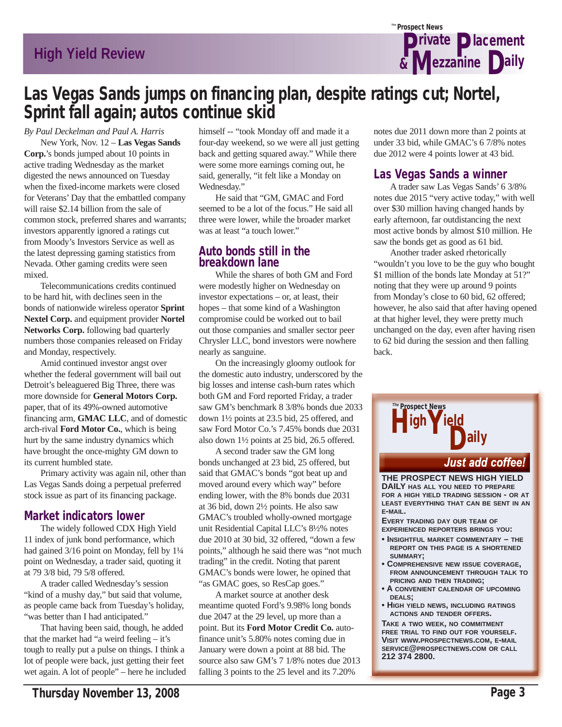

### Las Vegas Sands jumps on financing plan, despite ratings cut; Nortel, Sprint fall again; autos continue skid

*By Paul Deckelman and Paul A. Harris*

 New York, Nov. 12 – **Las Vegas Sands Corp.**'s bonds jumped about 10 points in active trading Wednesday as the market digested the news announced on Tuesday when the fixed-income markets were closed for Veterans' Day that the embattled company will raise \$2.14 billion from the sale of common stock, preferred shares and warrants; investors apparently ignored a ratings cut from Moody's Investors Service as well as the latest depressing gaming statistics from Nevada. Other gaming credits were seen mixed.

 Telecommunications credits continued to be hard hit, with declines seen in the bonds of nationwide wireless operator **Sprint Nextel Corp.** and equipment provider **Nortel Networks Corp.** following bad quarterly numbers those companies released on Friday and Monday, respectively.

 Amid continued investor angst over whether the federal government will bail out Detroit's beleaguered Big Three, there was more downside for **General Motors Corp.** paper, that of its 49%-owned automotive financing arm, **GMAC LLC**, and of domestic arch-rival **Ford Motor Co.**, which is being hurt by the same industry dynamics which have brought the once-mighty GM down to its current humbled state.

 Primary activity was again nil, other than Las Vegas Sands doing a perpetual preferred stock issue as part of its financing package.

### Market indicators lower

 The widely followed CDX High Yield 11 index of junk bond performance, which had gained 3/16 point on Monday, fell by  $1\frac{1}{4}$ point on Wednesday, a trader said, quoting it at 79 3/8 bid, 79 5/8 offered.

 A trader called Wednesday's session "kind of a mushy day," but said that volume, as people came back from Tuesday's holiday, "was better than I had anticipated."

 That having been said, though, he added that the market had "a weird feeling – it's tough to really put a pulse on things. I think a lot of people were back, just getting their feet wet again. A lot of people" – here he included himself -- "took Monday off and made it a four-day weekend, so we were all just getting back and getting squared away." While there were some more earnings coming out, he said, generally, "it felt like a Monday on Wednesday."

 He said that "GM, GMAC and Ford seemed to be a lot of the focus." He said all three were lower, while the broader market was at least "a touch lower."

#### Auto bonds still in the breakdown lane

 While the shares of both GM and Ford were modestly higher on Wednesday on investor expectations – or, at least, their hopes – that some kind of a Washington compromise could be worked out to bail out those companies and smaller sector peer Chrysler LLC, bond investors were nowhere nearly as sanguine.

 On the increasingly gloomy outlook for the domestic auto industry, underscored by the big losses and intense cash-burn rates which both GM and Ford reported Friday, a trader saw GM's benchmark 8 3/8% bonds due 2033 down 1½ points at 23.5 bid, 25 offered, and saw Ford Motor Co.'s 7.45% bonds due 2031 also down 1½ points at 25 bid, 26.5 offered.

 A second trader saw the GM long bonds unchanged at 23 bid, 25 offered, but said that GMAC's bonds "got beat up and moved around every which way" before ending lower, with the 8% bonds due 2031 at 36 bid, down 2½ points. He also saw GMAC's troubled wholly-owned mortgage unit Residential Capital LLC's 8½% notes due 2010 at 30 bid, 32 offered, "down a few points," although he said there was "not much trading" in the credit. Noting that parent GMAC's bonds were lower, he opined that "as GMAC goes, so ResCap goes."

 A market source at another desk meantime quoted Ford's 9.98% long bonds due 2047 at the 29 level, up more than a point. But its **Ford Motor Credit Co.** autofinance unit's 5.80% notes coming due in January were down a point at 88 bid. The source also saw GM's 7 1/8% notes due 2013 falling 3 points to the 25 level and its 7.20%

notes due 2011 down more than 2 points at under 33 bid, while GMAC's 6 7/8% notes due 2012 were 4 points lower at 43 bid.

### Las Vegas Sands a winner

 A trader saw Las Vegas Sands' 6 3/8% notes due 2015 "very active today," with well over \$30 million having changed hands by early afternoon, far outdistancing the next most active bonds by almost \$10 million. He saw the bonds get as good as 61 bid.

 Another trader asked rhetorically "wouldn't you love to be the guy who bought \$1 million of the bonds late Monday at 51?" noting that they were up around 9 points from Monday's close to 60 bid, 62 offered; however, he also said that after having opened at that higher level, they were pretty much unchanged on the day, even after having risen to 62 bid during the session and then falling back.



**FREE TRIAL TO FIND OUT FOR YOURSELF. VISIT WWW.PROSPECTNEWS.COM, E-MAIL SERVICE@PROSPECTNEWS.COM OR CALL 212 374 2800.**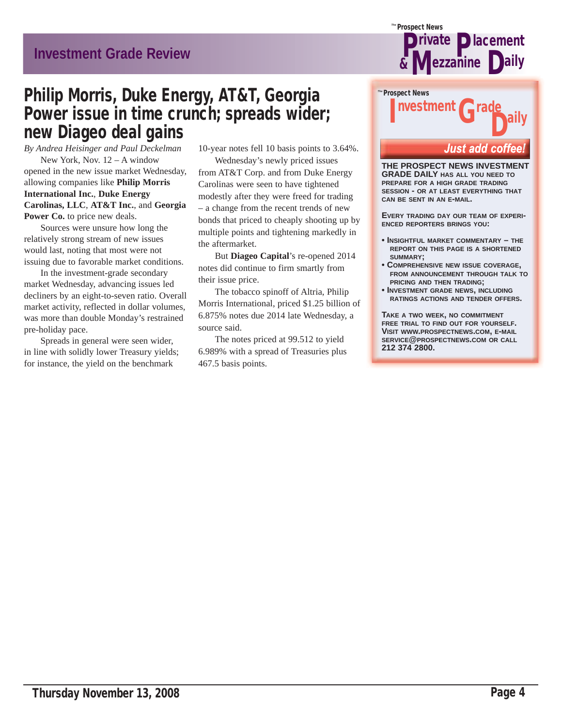# Grade Philip Morris, Duke Energy, AT&T, Georgia Power issue in time crunch; spreads wider; new Diageo deal gains

*By Andrea Heisinger and Paul Deckelman* New York, Nov. 12 – A window opened in the new issue market Wednesday, allowing companies like **Philip Morris International Inc.**, **Duke Energy Carolinas, LLC**, **AT&T Inc.**, and **Georgia**  Power Co. to price new deals.

 Sources were unsure how long the relatively strong stream of new issues would last, noting that most were not issuing due to favorable market conditions.

 In the investment-grade secondary market Wednesday, advancing issues led decliners by an eight-to-seven ratio. Overall market activity, reflected in dollar volumes, was more than double Monday's restrained pre-holiday pace.

 Spreads in general were seen wider, in line with solidly lower Treasury yields; for instance, the yield on the benchmark

10-year notes fell 10 basis points to 3.64%.

 Wednesday's newly priced issues from AT&T Corp. and from Duke Energy Carolinas were seen to have tightened modestly after they were freed for trading – a change from the recent trends of new bonds that priced to cheaply shooting up by multiple points and tightening markedly in the aftermarket.

 But **Diageo Capital**'s re-opened 2014 notes did continue to firm smartly from their issue price.

 The tobacco spinoff of Altria, Philip Morris International, priced \$1.25 billion of 6.875% notes due 2014 late Wednesday, a source said.

 The notes priced at 99.512 to yield 6.989% with a spread of Treasuries plus 467.5 basis points.



### Prospect News *The* Investment D<sup>ally</sup>

#### **Just add coffee**

**THE PROSPECT NEWS INVESTMENT GRADE DAILY HAS ALL YOU NEED TO PREPARE FOR A HIGH GRADE TRADING SESSION - OR AT LEAST EVERYTHING THAT CAN BE SENT IN AN E-MAIL.**

**EVERY TRADING DAY OUR TEAM OF EXPERI-ENCED REPORTERS BRINGS YOU:**

- **INSIGHTFUL MARKET COMMENTARY THE REPORT ON THIS PAGE IS A SHORTENED SUMMARY;**
- **COMPREHENSIVE NEW ISSUE COVERAGE, FROM ANNOUNCEMENT THROUGH TALK TO PRICING AND THEN TRADING;**
- **INVESTMENT GRADE NEWS, INCLUDING RATINGS ACTIONS AND TENDER OFFERS.**

**TAKE A TWO WEEK, NO COMMITMENT FREE TRIAL TO FIND OUT FOR YOURSELF. VISIT WWW.PROSPECTNEWS.COM, E-MAIL SERVICE@PROSPECTNEWS.COM OR CALL 212 374 2800.**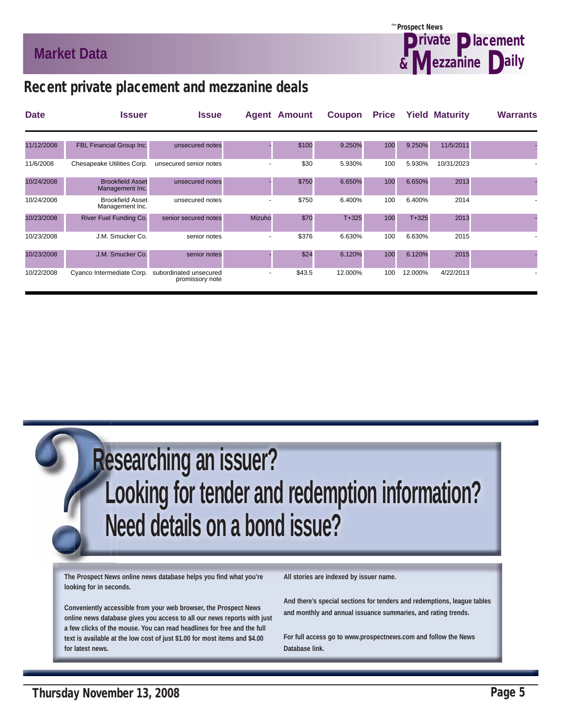

### Recent private placement and mezzanine deals

| <b>Date</b> | <b>Issuer</b>                              | <b>Issue</b>                              |        | <b>Agent Amount</b> | Coupon    | <b>Price</b> |           | <b>Yield Maturity</b> | <b>Warrants</b> |
|-------------|--------------------------------------------|-------------------------------------------|--------|---------------------|-----------|--------------|-----------|-----------------------|-----------------|
|             |                                            |                                           |        |                     |           |              |           |                       |                 |
| 11/12/2008  | FBL Financial Group Inc.                   | unsecured notes                           |        | \$100               | 9.250%    | 100          | 9.250%    | 11/5/2011             |                 |
| 11/6/2008   | Chesapeake Utilities Corp.                 | unsecured senior notes                    |        | \$30                | 5.930%    | 100          | 5.930%    | 10/31/2023            |                 |
| 10/24/2008  | <b>Brookfield Asset</b><br>Management Inc. | unsecured notes                           |        | \$750               | 6.650%    | 100          | 6.650%    | 2013                  |                 |
| 10/24/2008  | <b>Brookfield Asset</b><br>Management Inc. | unsecured notes                           |        | \$750               | 6.400%    | 100          | 6.400%    | 2014                  |                 |
| 10/23/2008  | River Fuel Funding Co.                     | senior secured notes                      | Mizuho | \$70                | $T + 325$ | 100          | $T + 325$ | 2013                  |                 |
| 10/23/2008  | J.M. Smucker Co.                           | senior notes                              |        | \$376               | 6.630%    | 100          | 6.630%    | 2015                  |                 |
| 10/23/2008  | J.M. Smucker Co.                           | senior notes                              |        | \$24                | 6.120%    | 100          | 6.120%    | 2015                  |                 |
| 10/22/2008  | Cyanco Intermediate Corp.                  | subordinated unsecured<br>promissory note |        | \$43.5              | 12.000%   | 100          | 12.000%   | 4/22/2013             |                 |

 **Researching an issuer? Looking for tender and redemption information? Need details on a bond issue?**

**The Prospect News online news database helps you find what you're looking for in seconds.**

**Conveniently accessible from your web browser, the Prospect News online news database gives you access to all our news reports with just a few clicks of the mouse. You can read headlines for free and the full text is available at the low cost of just \$1.00 for most items and \$4.00 for latest news.**

**All stories are indexed by issuer name.**

**And there's special sections for tenders and redemptions, league tables and monthly and annual issuance summaries, and rating trends.**

**For full access go to www.prospectnews.com and follow the News Database link.**